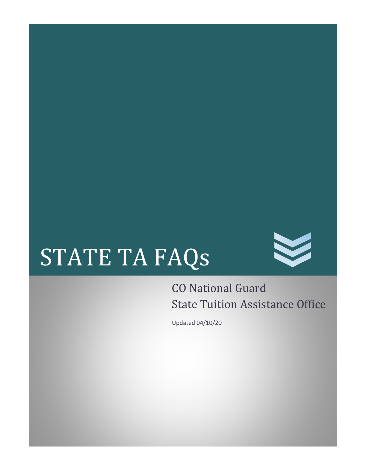# STATE TA FAQs



## CO National Guard State Tuition Assistance Office

Updated 04/10/20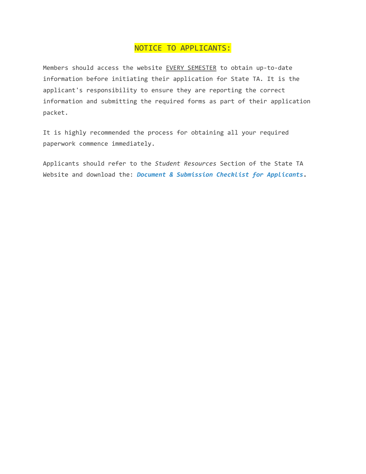### NOTICE TO APPLICANTS:

Members should access the website EVERY SEMESTER to obtain up-to-date information before initiating their application for State TA. It is the applicant's responsibility to ensure they are reporting the correct information and submitting the required forms as part of their application packet.

It is highly recommended the process for obtaining all your required paperwork commence immediately.

Applicants should refer to the *Student Resources* Section of the State TA Website and download the: *Document & Submission Checklist for Applicants***.**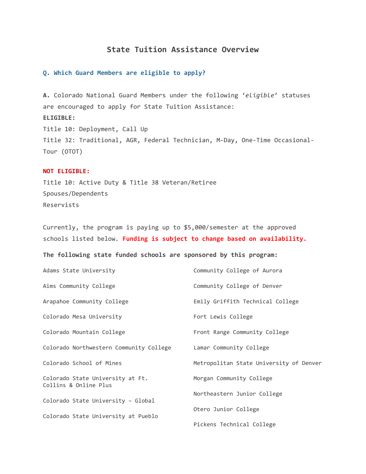#### **State Tuition Assistance Overview**

#### **Q. Which Guard Members are eligible to apply?**

**A.** Colorado National Guard Members under the following '*eligible*' statuses are encouraged to apply for State Tuition Assistance: **ELIGIBLE:** Title 10: Deployment, Call Up Title 32: Traditional, AGR, Federal Technician, M‐Day, One‐Time Occasional‐ Tour (OTOT)

#### **NOT ELIGIBLE:**

Title 10: Active Duty & Title 38 Veteran/Retiree Spouses/Dependents Reservists

Currently, the program is paying up to \$5,000/semester at the approved schools listed below. **Funding is subject to change based on availability.**

**The following state funded schools are sponsored by this program:**

| Adams State University                                    | Community College of Aurora             |
|-----------------------------------------------------------|-----------------------------------------|
| Aims Community College                                    | Community College of Denver             |
| Arapahoe Community College                                | Emily Griffith Technical College        |
| Colorado Mesa University                                  | Fort Lewis College                      |
| Colorado Mountain College                                 | Front Range Community College           |
| Colorado Northwestern Community College                   | Lamar Community College                 |
| Colorado School of Mines                                  | Metropolitan State University of Denver |
| Colorado State University at Ft.<br>Collins & Online Plus | Morgan Community College                |
|                                                           | Northeastern Junior College             |
| Colorado State University - Global                        | Otero Junior College                    |
| Colorado State University at Pueblo                       |                                         |
|                                                           | Pickens Technical College               |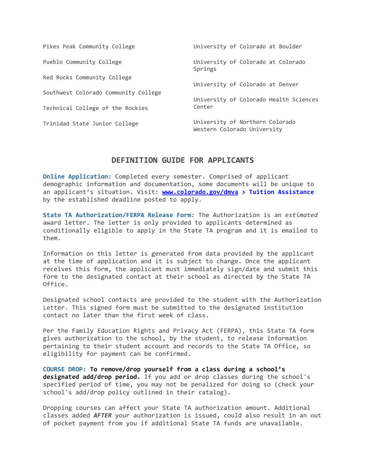| Pikes Peak Community College         | University of Colorado at Boulder                              |
|--------------------------------------|----------------------------------------------------------------|
| Pueblo Community College             | University of Colorado at Colorado<br>Springs                  |
| Red Rocks Community College          | University of Colorado at Denver                               |
| Southwest Colorado Community College |                                                                |
| Technical College of the Rockies     | University of Colorado Health Sciences<br>Center               |
| Trinidad State Junior College        | University of Northern Colorado<br>Western Colorado University |

#### **DEFINITION GUIDE FOR APPLICANTS**

**Online Application:** Completed every semester. Comprised of applicant demographic information and documentation, some documents will be unique to an applicant's situation. Visit: **www.colorado.gov/dmva > Tuition Assistance** by the established deadline posted to apply.

**State TA Authorization/FERPA Release Form:** The Authorization is an *estimated* award letter. The letter is only provided to applicants determined as conditionally eligible to apply in the State TA program and it is emailed to them.

Information on this letter is generated from data provided by the applicant at the time of application and it is subject to change. Once the applicant receives this form, the applicant must immediately sign/date and submit this form to the designated contact at their school as directed by the State TA Office.

Designated school contacts are provided to the student with the Authorization Letter. This signed form must be submitted to the designated institution contact no later than the first week of class.

Per the Family Education Rights and Privacy Act (FERPA), this State TA form gives authorization to the school, by the student, to release information pertaining to their student account and records to the State TA Office, so eligibility for payment can be confirmed.

**COURSE DROP: To remove/drop yourself from a class during a school's designated add/drop period.** If you add or drop classes during the school's specified period of time, you may not be penalized for doing so (check your school's add/drop policy outlined in their catalog).

Dropping courses can affect your State TA authorization amount. Additional classes added *AFTER* your authorization is issued, could also result in an out of pocket payment from you if additional State TA funds are unavailable.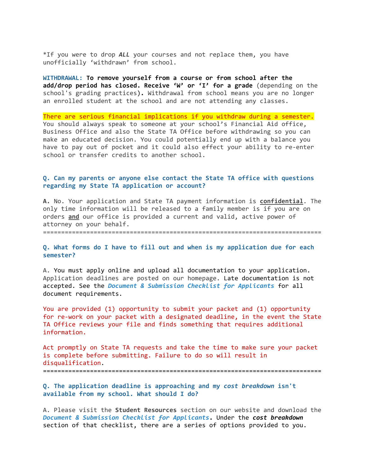\*If you were to drop *ALL* your courses and not replace them, you have unofficially 'withdrawn' from school.

**WITHDRAWAL: To remove yourself from a course or from school after the add/drop period has closed. Receive 'W' or 'I' for a grade** (depending on the school's grading practices)**.** Withdrawal from school means you are no longer an enrolled student at the school and are not attending any classes.

There are serious financial implications if you withdraw during a semester. You should always speak to someone at your school's Financial Aid office, Business Office and also the State TA Office before withdrawing so you can make an educated decision. You could potentially end up with a balance you have to pay out of pocket and it could also effect your ability to re‐enter school or transfer credits to another school.

#### **Q. Can my parents or anyone else contact the State TA office with questions regarding my State TA application or account?**

**A.** No. Your application and State TA payment information is **confidential**. The only time information will be released to a family member is if you are on orders **and** our office is provided a current and valid, active power of attorney on your behalf.

=============================================================================

**Q. What forms do I have to fill out and when is my application due for each semester?**

A. You must apply online and upload all documentation to your application. Application deadlines are posted on our homepage. Late documentation is not accepted. See the *Document & Submission Checklist for Applicants* for all document requirements.

You are provided (1) opportunity to submit your packet and (1) opportunity for re‐work on your packet with a designated deadline, in the event the State TA Office reviews your file and finds something that requires additional information.

Act promptly on State TA requests and take the time to make sure your packet is complete before submitting. Failure to do so will result in disqualification. =============================================================================

**Q. The application deadline is approaching and my** *cost breakdown* **isn't available from my school. What should I do?**

A. Please visit the **Student Resources** section on our website and download the *Document & Submission Checklist for Applicants***.** Under the *cost breakdown* section of that checklist, there are a series of options provided to you.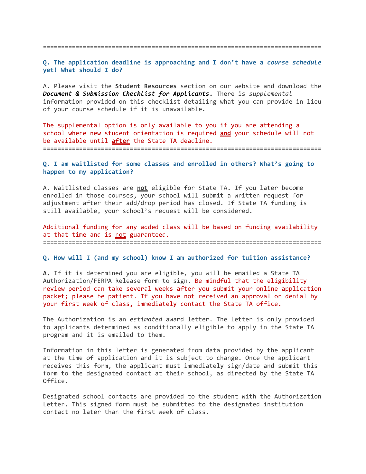=============================================================================

**Q. The application deadline is approaching and I don't have a** *course schedule* **yet! What should I do?**

A. Please visit the **Student Resources** section on our website and download the *Document & Submission Checklist for Applicants***.** There is *supplemental* information provided on this checklist detailing what you can provide in lieu of your course schedule if it is unavailable.

The supplemental option is only available to you if you are attending a school where new student orientation is required **and** your schedule will not be available until **after** the State TA deadline.

**=============================================================================**

#### **Q. I am waitlisted for some classes and enrolled in others? What's going to happen to my application?**

A. Waitlisted classes are **not** eligible for State TA. If you later become enrolled in those courses, your school will submit a written request for adjustment after their add/drop period has closed. If State TA funding is still available, your school's request will be considered.

Additional funding for any added class will be based on funding availability at that time and is not guaranteed. **=============================================================================**

**Q. How will I (and my school) know I am authorized for tuition assistance?**

**A.** If it is determined you are eligible, you will be emailed a State TA Authorization/FERPA Release form to sign. Be mindful that the eligibility review period can take several weeks after you submit your online application packet; please be patient. If you have not received an approval or denial by your first week of class, immediately contact the State TA office.

The Authorization is an *estimated* award letter. The letter is only provided to applicants determined as conditionally eligible to apply in the State TA program and it is emailed to them.

Information in this letter is generated from data provided by the applicant at the time of application and it is subject to change. Once the applicant receives this form, the applicant must immediately sign/date and submit this form to the designated contact at their school, as directed by the State TA Office.

Designated school contacts are provided to the student with the Authorization Letter. This signed form must be submitted to the designated institution contact no later than the first week of class.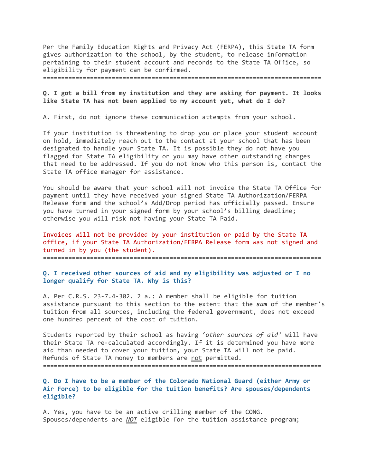Per the Family Education Rights and Privacy Act (FERPA), this State TA form gives authorization to the school, by the student, to release information pertaining to their student account and records to the State TA Office, so eligibility for payment can be confirmed.

**=============================================================================**

**Q. I got a bill from my institution and they are asking for payment. It looks like State TA has not been applied to my account yet, what do I do?**

A. First, do not ignore these communication attempts from your school.

If your institution is threatening to drop you or place your student account on hold, immediately reach out to the contact at your school that has been designated to handle your State TA. It is possible they do not have you flagged for State TA eligibility or you may have other outstanding charges that need to be addressed. If you do not know who this person is, contact the State TA office manager for assistance.

You should be aware that your school will not invoice the State TA Office for payment until they have received your signed State TA Authorization/FERPA Release form **and** the school's Add/Drop period has officially passed. Ensure you have turned in your signed form by your school's billing deadline; otherwise you will risk not having your State TA Paid.

Invoices will not be provided by your institution or paid by the State TA office, if your State TA Authorization/FERPA Release form was not signed and turned in by you (the student).

**=============================================================================**

#### **Q. I received other sources of aid and my eligibility was adjusted or I no longer qualify for State TA. Why is this?**

A. Per C.R.S. 23‐7.4-302. 2 a.: A member shall be eligible for tuition assistance pursuant to this section to the extent that the *sum* of the member's tuition from all sources, including the federal government, does not exceed one hundred percent of the cost of tuition.

Students reported by their school as having '*other sources of aid'* will have their State TA re-calculated accordingly. If it is determined you have more aid than needed to cover your tuition, your State TA will not be paid. Refunds of State TA money to members are not permitted.

=============================================================================

**Q. Do I have to be a member of the Colorado National Guard (either Army or Air Force) to be eligible for the tuition benefits? Are spouses/dependents eligible?**

A. Yes, you have to be an active drilling member of the CONG. Spouses/dependents are *NOT* eligible for the tuition assistance program;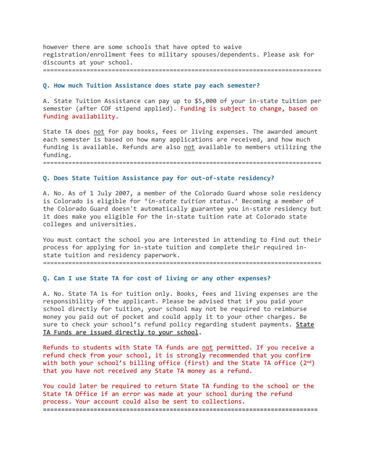however there are some schools that have opted to waive registration/enrollment fees to military spouses/dependents. Please ask for discounts at your school.

#### =============================================================================

#### **Q. How much Tuition Assistance does state pay each semester?**

A. State Tuition Assistance can pay up to \$5,000 of your in‐state tuition per semester (after COF stipend applied). Funding is subject to change, based on funding availability.

State TA does not for pay books, fees or living expenses. The awarded amount each semester is based on how many applications are received, and how much funding is available. Refunds are also not available to members utilizing the funding.

=============================================================================

#### **Q. Does State Tuition Assistance pay for out‐of‐state residency?**

A. No. As of 1 July 2007, a member of the Colorado Guard whose sole residency is Colorado is eligible for '*in‐state tuition status*.' Becoming a member of the Colorado Guard doesn't automatically guarantee you in‐state residency but it does make you eligible for the in‐state tuition rate at Colorado state colleges and universities.

You must contact the school you are interested in attending to find out their process for applying for in‐state tuition and complete their required in‐ state tuition and residency paperwork.

=============================================================================

#### **Q. Can I use State TA for cost of living or any other expenses?**

A. No. State TA is for tuition only. Books, fees and living expenses are the responsibility of the applicant. Please be advised that if you paid your school directly for tuition, your school may not be required to reimburse money you paid out of pocket and could apply it to your other charges. Be sure to check your school's refund policy regarding student payments. State TA Funds are issued directly to your school.

Refunds to students with State TA funds are not permitted. If you receive a refund check from your school, it is strongly recommended that you confirm with both your school's billing office (first) and the State TA office  $(2^{nd})$ that you have not received any State TA money as a refund.

You could later be required to return State TA funding to the school or the State TA Office if an error was made at your school during the refund process. Your account could also be sent to collections. **============================================================================**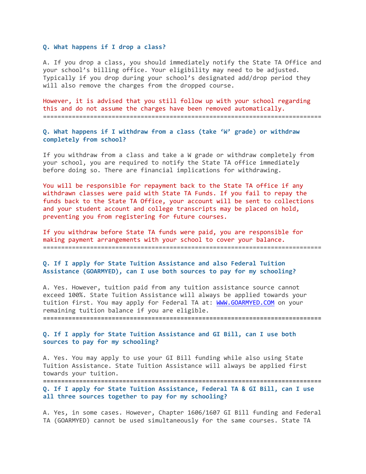#### **Q. What happens if I drop a class?**

A. If you drop a class, you should immediately notify the State TA Office and your school's billing office. Your eligibility may need to be adjusted. Typically if you drop during your school's designated add/drop period they will also remove the charges from the dropped course.

However, it is advised that you still follow up with your school regarding this and do not assume the charges have been removed automatically. =============================================================================

**Q. What happens if I withdraw from a class (take 'W' grade) or withdraw completely from school?**

If you withdraw from a class and take a W grade or withdraw completely from your school, you are required to notify the State TA office immediately before doing so. There are financial implications for withdrawing.

You will be responsible for repayment back to the State TA office if any withdrawn classes were paid with State TA Funds. If you fail to repay the funds back to the State TA Office, your account will be sent to collections and your student account and college transcripts may be placed on hold, preventing you from registering for future courses.

If you withdraw before State TA funds were paid, you are responsible for making payment arrangements with your school to cover your balance. =============================================================================

#### **Q. If I apply for State Tuition Assistance and also Federal Tuition Assistance (GOARMYED), can I use both sources to pay for my schooling?**

A. Yes. However, tuition paid from any tuition assistance source cannot exceed 100%. State Tuition Assistance will always be applied towards your tuition first. You may apply for Federal TA at: WWW.GOARMYED.COM on your remaining tuition balance if you are eligible.

**=============================================================================**

**Q. If I apply for State Tuition Assistance and GI Bill, can I use both sources to pay for my schooling?**

A. Yes. You may apply to use your GI Bill funding while also using State Tuition Assistance. State Tuition Assistance will always be applied first towards your tuition.

**============================================================================= Q. If I apply for State Tuition Assistance, Federal TA & GI Bill, can I use**

**all three sources together to pay for my schooling?**

A. Yes, in some cases. However, Chapter 1606/1607 GI Bill funding and Federal TA (GOARMYED) cannot be used simultaneously for the same courses. State TA